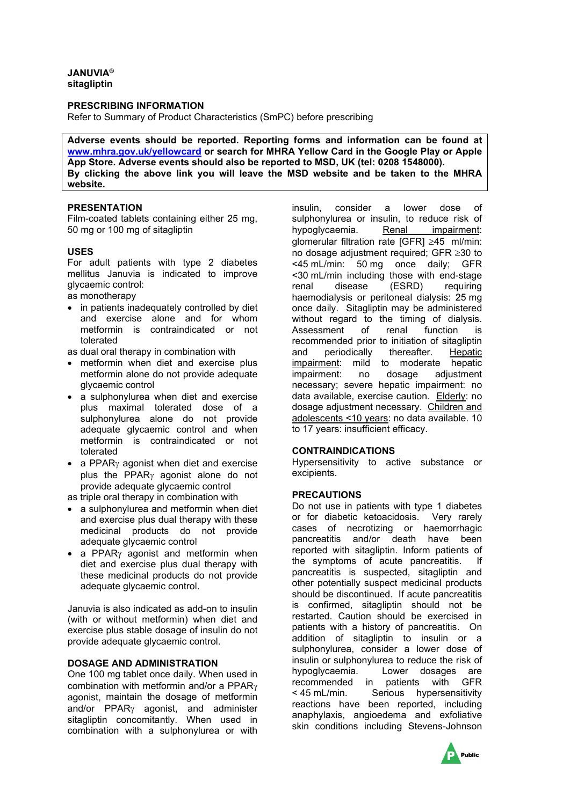## **JANUVIA® sitagliptin**

## **PRESCRIBING INFORMATION**

Refer to Summary of Product Characteristics (SmPC) before prescribing

**Adverse events should be reported. Reporting forms and information can be found at [www.mhra.gov.uk/yellowcard](http://www.mhra.gov.uk/yellowcard) or search for MHRA Yellow Card in the Google Play or Apple App Store. Adverse events should also be reported to MSD, UK (tel: 0208 1548000). By clicking the above link you will leave the MSD website and be taken to the MHRA website.**

# **PRESENTATION**

Film-coated tablets containing either 25 mg, 50 mg or 100 mg of sitagliptin

#### **USES**

For adult patients with type 2 diabetes mellitus Januvia is indicated to improve glycaemic control: as monotherapy

- in patients inadequately controlled by diet and exercise alone and for whom metformin is contraindicated or not tolerated
- as dual oral therapy in combination with
- metformin when diet and exercise plus metformin alone do not provide adequate glycaemic control
- a sulphonylurea when diet and exercise plus maximal tolerated dose of a sulphonylurea alone do not provide adequate glycaemic control and when metformin is contraindicated or not tolerated
- a PPAR<sub>Y</sub> agonist when diet and exercise plus the PPARγ agonist alone do not provide adequate glycaemic control
- as triple oral therapy in combination with
- a sulphonylurea and metformin when diet and exercise plus dual therapy with these medicinal products do not provide adequate glycaemic control
- a PPAR $\gamma$  agonist and metformin when diet and exercise plus dual therapy with these medicinal products do not provide adequate glycaemic control.

Januvia is also indicated as add-on to insulin (with or without metformin) when diet and exercise plus stable dosage of insulin do not provide adequate glycaemic control.

# **DOSAGE AND ADMINISTRATION**

One 100 mg tablet once daily. When used in combination with metformin and/or a PPARγ agonist, maintain the dosage of metformin and/or PPARγ agonist, and administer sitagliptin concomitantly. When used in combination with a sulphonylurea or with

insulin, consider a lower dose of sulphonylurea or insulin, to reduce risk of hypoglycaemia. Renal impairment: glomerular filtration rate [GFR] ≥45 ml/min: no dosage adjustment required; GFR ≥30 to <45 mL/min: 50 mg once daily; GFR <30 mL/min including those with end-stage renal disease (ESRD) requiring haemodialysis or peritoneal dialysis: 25 mg once daily. Sitagliptin may be administered without regard to the timing of dialysis.<br>Assessment of renal function is Assessment of renal function is recommended prior to initiation of sitagliptin<br>and periodically thereafter. Hepatic and periodically thereafter. Hepatic impairment: mild to moderate hepatic<br>impairment: no dosage adjustment impairment: no dosage adjustment necessary; severe hepatic impairment: no data available, exercise caution. Elderly: no dosage adjustment necessary. Children and adolescents <10 years: no data available. 10 to 17 years: insufficient efficacy.

#### **CONTRAINDICATIONS**

Hypersensitivity to active substance or excipients.

#### **PRECAUTIONS**

Do not use in patients with type 1 diabetes or for diabetic ketoacidosis. Very rarely cases of necrotizing or haemorrhagic pancreatitis and/or death have been reported with sitagliptin. Inform patients of the symptoms of acute pancreatitis. If pancreatitis is suspected, sitagliptin and other potentially suspect medicinal products should be discontinued. If acute pancreatitis is confirmed, sitagliptin should not be restarted. Caution should be exercised in patients with a history of pancreatitis. On addition of sitagliptin to insulin or a sulphonylurea, consider a lower dose of insulin or sulphonylurea to reduce the risk of hypoglycaemia. Lower dosages are recommended in patients with GFR < 45 mL/min. Serious hypersensitivity reactions have been reported, including anaphylaxis, angioedema and exfoliative skin conditions including Stevens-Johnson